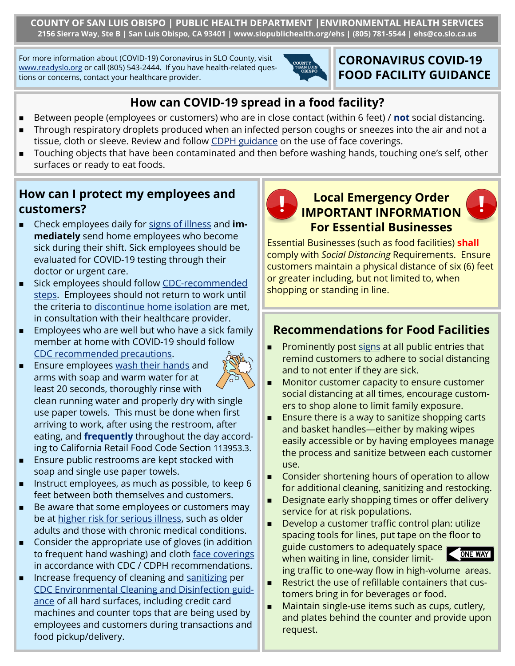**COUNTY OF SAN LUIS OBISPO | PUBLIC HEALTH DEPARTMENT |ENVIRONMENTAL HEALTH SERVICES 2156 Sierra Way, Ste B | San Luis Obispo, CA 93401 | www.slopublichealth.org/ehs | (805) 781-5544 | ehs@co.slo.ca.us**

For more information about (COVID-19) Coronavirus in SLO County, visit [www.readyslo.org](https://www.readyslo.org/en/index.aspx) or call (805) 543-2444. If you have health-related questions or concerns, contact your healthcare provider.



## **CORONAVIRUS COVID-19 FOOD FACILITY GUIDANCE**

## **How can COVID-19 spread in a food facility?**

- Between people (employees or customers) who are in close contact (within 6 feet) / **not** social distancing.
- ◼ Through respiratory droplets produced when an infected person coughs or sneezes into the air and not a tissue, cloth or sleeve. Review and follow [CDPH guidance](https://efspvpsap.wings.co.slo.ca.us:50001/irj/portal) on the use of face coverings.
- Touching objects that have been contaminated and then before washing hands, touching one's self, other surfaces or ready to eat foods.

## **How can I protect my employees and customers?**

- ◼ Check employees daily for [signs of illness](https://www.cdc.gov/coronavirus/2019-ncov/index.html) and **immediately** send home employees who become sick during their shift. Sick employees should be evaluated for COVID-19 testing through their doctor or urgent care.
- Sick employees should follow CDC-recommended [steps.](https://www.cdc.gov/coronavirus/2019-ncov/if-you-are-sick/steps-when-sick.html) Employees should not return to work until the criteria to [discontinue home isolation](https://www.cdc.gov/coronavirus/2019-ncov/hcp/disposition-in-home-patients.html) are met, in consultation with their healthcare provider.
- Employees who are well but who have a sick family member at home with COVID-19 should follow [CDC recommended precautions.](https://www.cdc.gov/coronavirus/2019-ncov/if-you-are-sick/index.html?CDC_AA_refVal=https%3A%2F%2Fwww.cdc.gov%2Fcoronavirus%2F2019-ncov%2Fhcp%2Fguidance-prevent-spread.html)
- Ensure employees [wash their hands](https://www.cdc.gov/handwashing/when-how-handwashing.html) and arms with soap and warm water for at least 20 seconds, thoroughly rinse with clean running water and properly dry with single use paper towels. This must be done when first arriving to work, after using the restroom, after eating, and **frequently** throughout the day according to California Retail Food Code Section 113953.3.
- Ensure public restrooms are kept stocked with soap and single use paper towels.
- Instruct employees, as much as possible, to keep 6 feet between both themselves and customers.
- Be aware that some employees or customers may be at [higher risk for serious illness,](https://www.cdc.gov/coronavirus/2019-ncov/need-extra-precautions/people-at-higher-risk.html) such as older adults and those with chronic medical conditions.
- Consider the appropriate use of gloves (in addition to frequent hand washing) and cloth [face coverings](https://www.cdc.gov/coronavirus/2019-ncov/prevent-getting-sick/cloth-face-cover.html) in accordance with CDC / CDPH recommendations.
- Increase frequency of cleaning and [sanitizing](https://www.slocounty.ca.gov/Departments/Health-Agency/Public-Health/Environmental-Health/Forms-Documents/Reference-Materials/Food-Program-Reference-Documents/General-Food-Program-Reference-Materials/Coronavirus-COVID-19-Disinfection-Guidance-(Englis.aspx) per [CDC Environmental Cleaning and Disinfection guid](https://www.cdc.gov/coronavirus/2019-ncov/prevent-getting-sick/cleaning-disinfection.html?CDC_AA_refVal=https%3A%2F%2Fwww.cdc.gov%2Fcoronavirus%2F2019-ncov%2Fprepare%2Fcleaning-disinfection.html)[ance](https://www.cdc.gov/coronavirus/2019-ncov/prevent-getting-sick/cleaning-disinfection.html?CDC_AA_refVal=https%3A%2F%2Fwww.cdc.gov%2Fcoronavirus%2F2019-ncov%2Fprepare%2Fcleaning-disinfection.html) of all hard surfaces, including credit card machines and counter tops that are being used by employees and customers during transactions and food pickup/delivery.



### **Local Emergency Order IMPORTANT INFORMATION For Essential Businesses**

Essential Businesses (such as food facilities) **shall**  comply with *Social Distancing* Requirements. Ensure customers maintain a physical distance of six (6) feet or greater including, but not limited to, when shopping or standing in line.

# **Recommendations for Food Facilities**

- **Prominently post [signs](https://www.emergencyslo.org/en/resources/Current-Emergency-Information/Documents/General-Guidance-for-Social-Distancing-in-Lines.pdf) at all public entries that** remind customers to adhere to social distancing and to not enter if they are sick.
- ◼ Monitor customer capacity to ensure customer social distancing at all times, encourage customers to shop alone to limit family exposure.
- Ensure there is a way to sanitize shopping carts and basket handles—either by making wipes easily accessible or by having employees manage the process and sanitize between each customer use.
- ◼ Consider shortening hours of operation to allow for additional cleaning, sanitizing and restocking.
- Designate early shopping times or offer delivery service for at risk populations.
- Develop a customer traffic control plan: utilize spacing tools for lines, put tape on the floor to guide customers to adequately space when waiting in line, consider limit-



- ing traffic to one-way flow in high-volume areas.
- Restrict the use of refillable containers that customers bring in for beverages or food.
- Maintain single-use items such as cups, cutlery, and plates behind the counter and provide upon request.